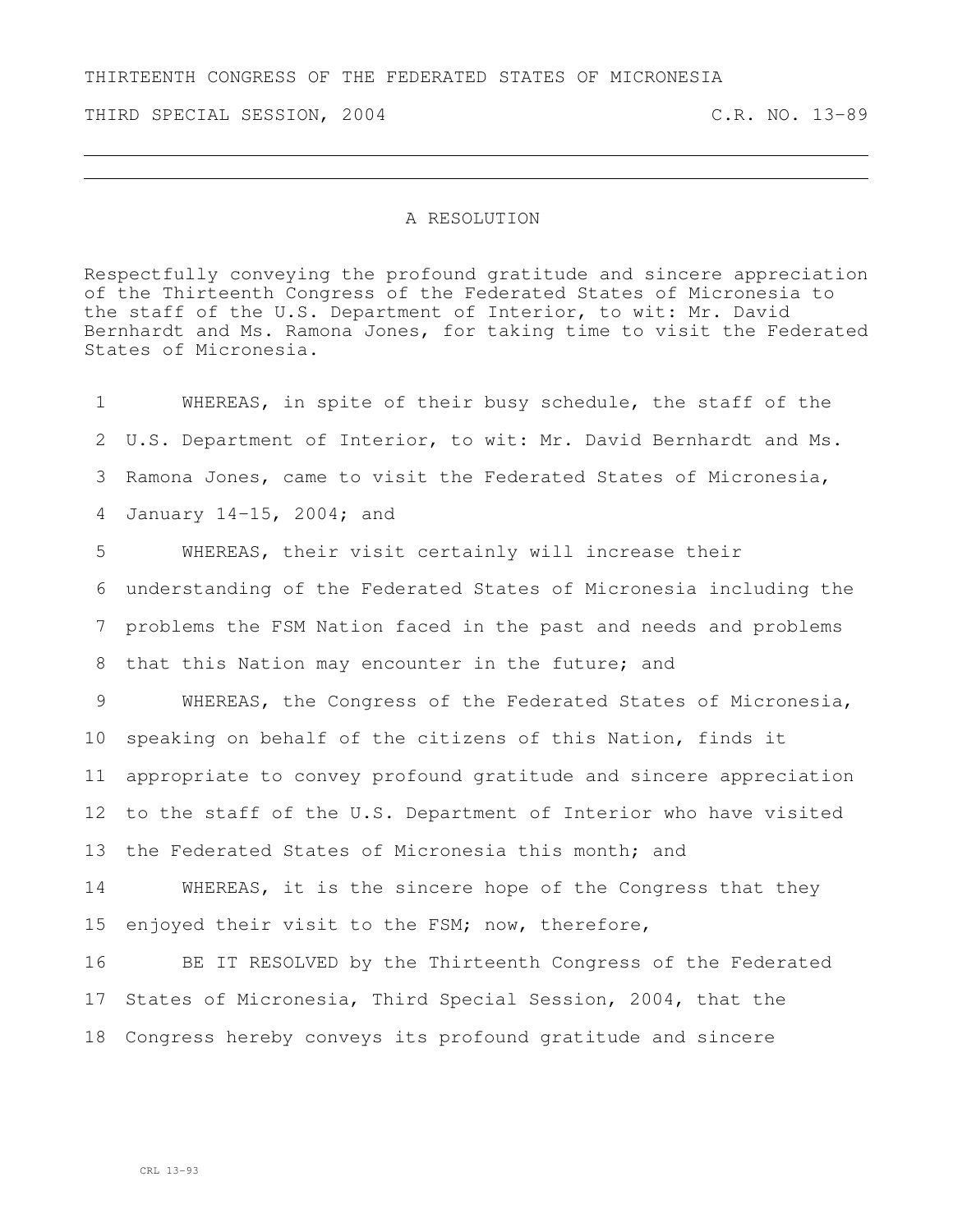THIRTEENTH CONGRESS OF THE FEDERATED STATES OF MICRONESIA

THIRD SPECIAL SESSION, 2004 C.R. NO. 13-89

## A RESOLUTION

Respectfully conveying the profound gratitude and sincere appreciation of the Thirteenth Congress of the Federated States of Micronesia to the staff of the U.S. Department of Interior, to wit: Mr. David Bernhardt and Ms. Ramona Jones, for taking time to visit the Federated States of Micronesia.

 WHEREAS, in spite of their busy schedule, the staff of the U.S. Department of Interior, to wit: Mr. David Bernhardt and Ms. Ramona Jones, came to visit the Federated States of Micronesia, January 14–15, 2004; and WHEREAS, their visit certainly will increase their understanding of the Federated States of Micronesia including the problems the FSM Nation faced in the past and needs and problems 8 that this Nation may encounter in the future; and WHEREAS, the Congress of the Federated States of Micronesia, speaking on behalf of the citizens of this Nation, finds it appropriate to convey profound gratitude and sincere appreciation to the staff of the U.S. Department of Interior who have visited 13 the Federated States of Micronesia this month; and WHEREAS, it is the sincere hope of the Congress that they enjoyed their visit to the FSM; now, therefore, BE IT RESOLVED by the Thirteenth Congress of the Federated States of Micronesia, Third Special Session, 2004, that the Congress hereby conveys its profound gratitude and sincere